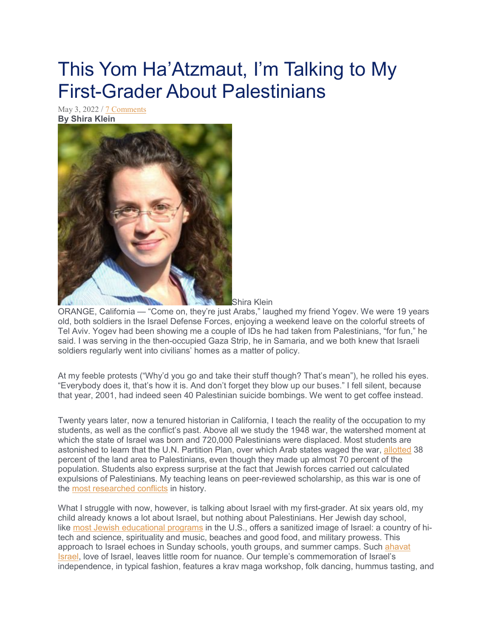## This Yom Ha'Atzmaut, I'm Talking to My First-Grader About Palestinians

May 3, 2022 / [7 Comments](https://www.sdjewishworld.com/2022/05/03/this-yom-haatzmaut-im-talking-to-my-first-grader-about-palestinians/#comments) **By Shira Klein**



Shira Klein

ORANGE, California — "Come on, they're just Arabs," laughed my friend Yogev. We were 19 years old, both soldiers in the Israel Defense Forces, enjoying a weekend leave on the colorful streets of Tel Aviv. Yogev had been showing me a couple of IDs he had taken from Palestinians, "for fun," he said. I was serving in the then-occupied Gaza Strip, he in Samaria, and we both knew that Israeli soldiers regularly went into civilians' homes as a matter of policy.

At my feeble protests ("Why'd you go and take their stuff though? That's mean"), he rolled his eyes. "Everybody does it, that's how it is. And don't forget they blow up our buses." I fell silent, because that year, 2001, had indeed seen 40 Palestinian suicide bombings. We went to get coffee instead.

Twenty years later, now a tenured historian in California, I teach the reality of the occupation to my students, as well as the conflict's past. Above all we study the 1948 war, the watershed moment at which the state of Israel was born and 720,000 Palestinians were displaced. Most students are astonished to learn that the U.N. Partition Plan, over which Arab states waged the war, [allotted](https://muse.jhu.edu/article/799756/pdf) 38 percent of the land area to Palestinians, even though they made up almost 70 percent of the population. Students also express surprise at the fact that Jewish forces carried out calculated expulsions of Palestinians. My teaching leans on peer-reviewed scholarship, as this war is one of the most [researched](https://www.worldcat.org/search?q=su%3AIsrael-Arab+War%2C+1948-1949.&fq=&dblist=638&qt=sort&se=$d&sd=desc&qt=sort_$d_desc) conflicts in history.

What I struggle with now, however, is talking about Israel with my first-grader. At six years old, my child already knows a lot about Israel, but nothing about Palestinians. Her Jewish day school, like most Jewish [educational](https://www.proquest.com/pagepdf/1813800989?accountid=10051) programs in the U.S., offers a sanitized image of Israel: a country of hitech and science, spirituality and music, beaches and good food, and military prowess. This approach to Israel echoes in Sunday schools, youth groups, and summer camps. Such [ahavat](https://momentmag.com/american-jewish-children-learn-israel/) [Israel,](https://momentmag.com/american-jewish-children-learn-israel/) love of Israel, leaves little room for nuance. Our temple's commemoration of Israel's independence, in typical fashion, features a krav maga workshop, folk dancing, hummus tasting, and